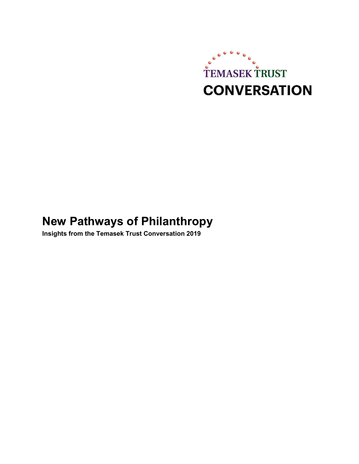

# **New Pathways of Philanthropy**

**Insights from the Temasek Trust Conversation 2019**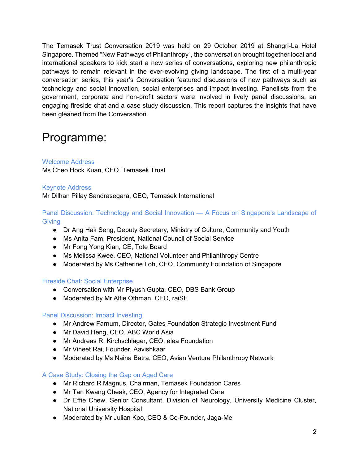The Temasek Trust Conversation 2019 was held on 29 October 2019 at Shangri-La Hotel Singapore. Themed "New Pathways of Philanthropy", the conversation brought together local and international speakers to kick start a new series of conversations, exploring new philanthropic pathways to remain relevant in the ever-evolving giving landscape. The first of a multi-year conversation series, this year's Conversation featured discussions of new pathways such as technology and social innovation, social enterprises and impact investing. Panellists from the government, corporate and non-profit sectors were involved in lively panel discussions, an engaging fireside chat and a case study discussion. This report captures the insights that have been gleaned from the Conversation.

## Programme:

### Welcome Address

Ms Cheo Hock Kuan, CEO, Temasek Trust

#### Keynote Address

Mr Dilhan Pillay Sandrasegara, CEO, Temasek International

#### Panel Discussion: Technology and Social Innovation — A Focus on Singapore's Landscape of **Giving**

- Dr Ang Hak Seng, Deputy Secretary, Ministry of Culture, Community and Youth
- Ms Anita Fam, President, National Council of Social Service
- Mr Fong Yong Kian, CE, Tote Board
- Ms Melissa Kwee, CEO, National Volunteer and Philanthropy Centre
- Moderated by Ms Catherine Loh, CEO, Community Foundation of Singapore

#### Fireside Chat: Social Enterprise

- Conversation with Mr Piyush Gupta, CEO, DBS Bank Group
- Moderated by Mr Alfie Othman, CEO, raiSE

### Panel Discussion: Impact Investing

- Mr Andrew Farnum, Director, Gates Foundation Strategic Investment Fund
- Mr David Heng, CEO, ABC World Asia
- Mr Andreas R. Kirchschlager, CEO, elea Foundation
- Mr Vineet Rai, Founder, Aavishkaar
- Moderated by Ms Naina Batra, CEO, Asian Venture Philanthropy Network

### A Case Study: Closing the Gap on Aged Care

- Mr Richard R Magnus, Chairman, Temasek Foundation Cares
- Mr Tan Kwang Cheak, CEO, Agency for Integrated Care
- Dr Effie Chew, Senior Consultant, Division of Neurology, University Medicine Cluster, National University Hospital
- Moderated by Mr Julian Koo, CEO & Co-Founder, Jaga-Me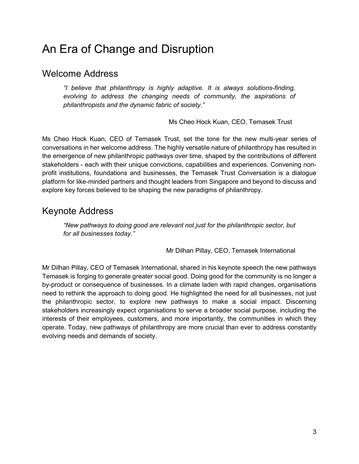# An Era of Change and Disruption

### Welcome Address

*"I believe that philanthropy is highly adaptive. It is always solutions-finding, evolving to address the changing needs of community, the aspirations of philanthropists and the dynamic fabric of society."*

Ms Cheo Hock Kuan, CEO, Temasek Trust

Ms Cheo Hock Kuan, CEO of Temasek Trust, set the tone for the new multi-year series of conversations in her welcome address. The highly versatile nature of philanthropy has resulted in the emergence of new philanthropic pathways over time, shaped by the contributions of different stakeholders - each with their unique convictions, capabilities and experiences. Convening nonprofit institutions, foundations and businesses, the Temasek Trust Conversation is a dialogue platform for like-minded partners and thought leaders from Singapore and beyond to discuss and explore key forces believed to be shaping the new paradigms of philanthropy.

### Keynote Address

*"New pathways to doing good are relevant not just for the philanthropic sector, but for all businesses today."* 

Mr Dilhan Pillay, CEO, Temasek International

Mr Dilhan Pillay, CEO of Temasek International, shared in his keynote speech the new pathways Temasek is forging to generate greater social good. Doing good for the community is no longer a by-product or consequence of businesses. In a climate laden with rapid changes, organisations need to rethink the approach to doing good. He highlighted the need for all businesses, not just the philanthropic sector, to explore new pathways to make a social impact. Discerning stakeholders increasingly expect organisations to serve a broader social purpose, including the interests of their employees, customers, and more importantly, the communities in which they operate. Today, new pathways of philanthropy are more crucial than ever to address constantly evolving needs and demands of society.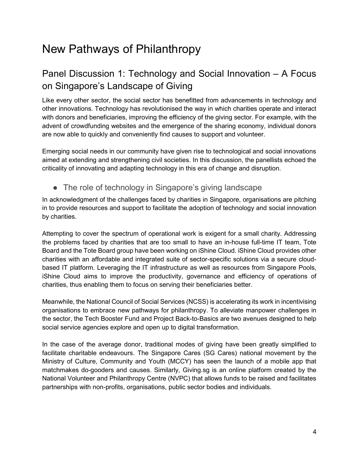# New Pathways of Philanthropy

## Panel Discussion 1: Technology and Social Innovation – A Focus on Singapore's Landscape of Giving

Like every other sector, the social sector has benefitted from advancements in technology and other innovations. Technology has revolutionised the way in which charities operate and interact with donors and beneficiaries, improving the efficiency of the giving sector. For example, with the advent of crowdfunding websites and the emergence of the sharing economy, individual donors are now able to quickly and conveniently find causes to support and volunteer.

Emerging social needs in our community have given rise to technological and social innovations aimed at extending and strengthening civil societies. In this discussion, the panellists echoed the criticality of innovating and adapting technology in this era of change and disruption.

• The role of technology in Singapore's giving landscape

In acknowledgment of the challenges faced by charities in Singapore, organisations are pitching in to provide resources and support to facilitate the adoption of technology and social innovation by charities.

Attempting to cover the spectrum of operational work is exigent for a small charity. Addressing the problems faced by charities that are too small to have an in-house full-time IT team, Tote Board and the Tote Board group have been working on iShine Cloud. iShine Cloud provides other charities with an affordable and integrated suite of sector-specific solutions via a secure cloudbased IT platform. Leveraging the IT infrastructure as well as resources from Singapore Pools, iShine Cloud aims to improve the productivity, governance and efficiency of operations of charities, thus enabling them to focus on serving their beneficiaries better.

Meanwhile, the National Council of Social Services (NCSS) is accelerating its work in incentivising organisations to embrace new pathways for philanthropy. To alleviate manpower challenges in the sector, the Tech Booster Fund and Project Back-to-Basics are two avenues designed to help social service agencies explore and open up to digital transformation.

In the case of the average donor, traditional modes of giving have been greatly simplified to facilitate charitable endeavours. The Singapore Cares (SG Cares) national movement by the Ministry of Culture, Community and Youth (MCCY) has seen the launch of a mobile app that matchmakes do-gooders and causes. Similarly, Giving.sg is an online platform created by the National Volunteer and Philanthropy Centre (NVPC) that allows funds to be raised and facilitates partnerships with non-profits, organisations, public sector bodies and individuals.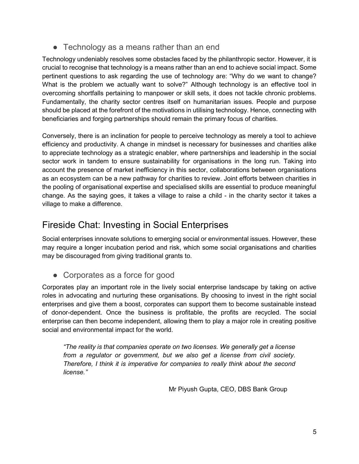• Technology as a means rather than an end

Technology undeniably resolves some obstacles faced by the philanthropic sector. However, it is crucial to recognise that technology is a means rather than an end to achieve social impact. Some pertinent questions to ask regarding the use of technology are: "Why do we want to change? What is the problem we actually want to solve?" Although technology is an effective tool in overcoming shortfalls pertaining to manpower or skill sets, it does not tackle chronic problems. Fundamentally, the charity sector centres itself on humanitarian issues. People and purpose should be placed at the forefront of the motivations in utilising technology. Hence, connecting with beneficiaries and forging partnerships should remain the primary focus of charities.

Conversely, there is an inclination for people to perceive technology as merely a tool to achieve efficiency and productivity. A change in mindset is necessary for businesses and charities alike to appreciate technology as a strategic enabler, where partnerships and leadership in the social sector work in tandem to ensure sustainability for organisations in the long run. Taking into account the presence of market inefficiency in this sector, collaborations between organisations as an ecosystem can be a new pathway for charities to review. Joint efforts between charities in the pooling of organisational expertise and specialised skills are essential to produce meaningful change. As the saying goes, it takes a village to raise a child - in the charity sector it takes a village to make a difference.

## Fireside Chat: Investing in Social Enterprises

Social enterprises innovate solutions to emerging social or environmental issues. However, these may require a longer incubation period and risk, which some social organisations and charities may be discouraged from giving traditional grants to.

● Corporates as a force for good

Corporates play an important role in the lively social enterprise landscape by taking on active roles in advocating and nurturing these organisations. By choosing to invest in the right social enterprises and give them a boost, corporates can support them to become sustainable instead of donor-dependent. Once the business is profitable, the profits are recycled. The social enterprise can then become independent, allowing them to play a major role in creating positive social and environmental impact for the world.

*"The reality is that companies operate on two licenses. We generally get a license from a regulator or government, but we also get a license from civil society. Therefore, I think it is imperative for companies to really think about the second license."* 

Mr Piyush Gupta, CEO, DBS Bank Group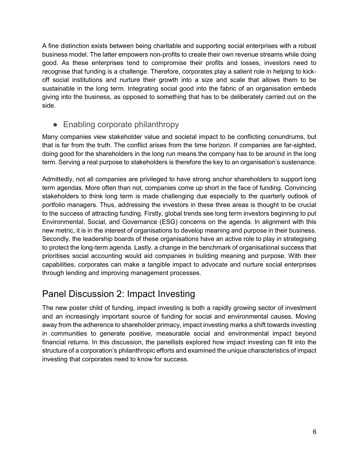A fine distinction exists between being charitable and supporting social enterprises with a robust business model. The latter empowers non-profits to create their own revenue streams while doing good. As these enterprises tend to compromise their profits and losses, investors need to recognise that funding is a challenge. Therefore, corporates play a salient role in helping to kickoff social institutions and nurture their growth into a size and scale that allows them to be sustainable in the long term. Integrating social good into the fabric of an organisation embeds giving into the business, as opposed to something that has to be deliberately carried out on the side.

### ● Enabling corporate philanthropy

Many companies view stakeholder value and societal impact to be conflicting conundrums, but that is far from the truth. The conflict arises from the time horizon. If companies are far-sighted, doing good for the shareholders in the long run means the company has to be around in the long term. Serving a real purpose to stakeholders is therefore the key to an organisation's sustenance.

Admittedly, not all companies are privileged to have strong anchor shareholders to support long term agendas. More often than not, companies come up short in the face of funding. Convincing stakeholders to think long term is made challenging due especially to the quarterly outlook of portfolio managers. Thus, addressing the investors in these three areas is thought to be crucial to the success of attracting funding. Firstly, global trends see long term investors beginning to put Environmental, Social, and Governance (ESG) concerns on the agenda. In alignment with this new metric, it is in the interest of organisations to develop meaning and purpose in their business. Secondly, the leadership boards of these organisations have an active role to play in strategising to protect the long-term agenda. Lastly, a change in the benchmark of organisational success that prioritises social accounting would aid companies in building meaning and purpose. With their capabilities, corporates can make a tangible impact to advocate and nurture social enterprises through lending and improving management processes.

### Panel Discussion 2: Impact Investing

The new poster child of funding, impact investing is both a rapidly growing sector of investment and an increasingly important source of funding for social and environmental causes. Moving away from the adherence to shareholder primacy, impact investing marks a shift towards investing in communities to generate positive, measurable social and environmental impact beyond financial returns. In this discussion, the panellists explored how impact investing can fit into the structure of a corporation's philanthropic efforts and examined the unique characteristics of impact investing that corporates need to know for success.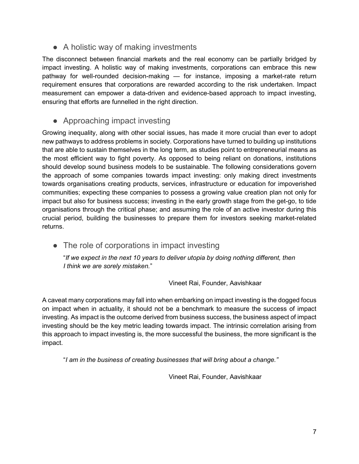• A holistic way of making investments

The disconnect between financial markets and the real economy can be partially bridged by impact investing. A holistic way of making investments, corporations can embrace this new pathway for well-rounded decision-making — for instance, imposing a market-rate return requirement ensures that corporations are rewarded according to the risk undertaken. Impact measurement can empower a data-driven and evidence-based approach to impact investing, ensuring that efforts are funnelled in the right direction.

### ● Approaching impact investing

Growing inequality, along with other social issues, has made it more crucial than ever to adopt new pathways to address problems in society. Corporations have turned to building up institutions that are able to sustain themselves in the long term, as studies point to entrepreneurial means as the most efficient way to fight poverty. As opposed to being reliant on donations, institutions should develop sound business models to be sustainable. The following considerations govern the approach of some companies towards impact investing: only making direct investments towards organisations creating products, services, infrastructure or education for impoverished communities; expecting these companies to possess a growing value creation plan not only for impact but also for business success; investing in the early growth stage from the get-go, to tide organisations through the critical phase; and assuming the role of an active investor during this crucial period, building the businesses to prepare them for investors seeking market-related returns.

• The role of corporations in impact investing

"*If we expect in the next 10 years to deliver utopia by doing nothing different, then I think we are sorely mistaken.*"

Vineet Rai, Founder, Aavishkaar

A caveat many corporations may fall into when embarking on impact investing is the dogged focus on impact when in actuality, it should not be a benchmark to measure the success of impact investing. As impact is the outcome derived from business success, the business aspect of impact investing should be the key metric leading towards impact. The intrinsic correlation arising from this approach to impact investing is, the more successful the business, the more significant is the impact.

"*I am in the business of creating businesses that will bring about a change."* 

Vineet Rai, Founder, Aavishkaar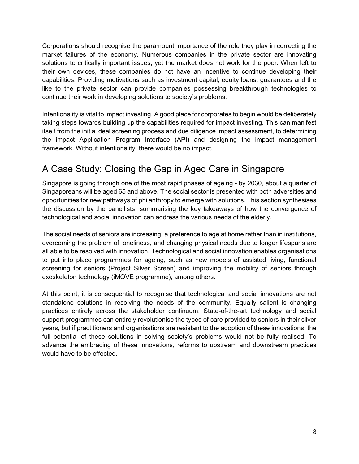Corporations should recognise the paramount importance of the role they play in correcting the market failures of the economy. Numerous companies in the private sector are innovating solutions to critically important issues, yet the market does not work for the poor. When left to their own devices, these companies do not have an incentive to continue developing their capabilities. Providing motivations such as investment capital, equity loans, guarantees and the like to the private sector can provide companies possessing breakthrough technologies to continue their work in developing solutions to society's problems.

Intentionality is vital to impact investing. A good place for corporates to begin would be deliberately taking steps towards building up the capabilities required for impact investing. This can manifest itself from the initial deal screening process and due diligence impact assessment, to determining the impact Application Program Interface (API) and designing the impact management framework. Without intentionality, there would be no impact.

## A Case Study: Closing the Gap in Aged Care in Singapore

Singapore is going through one of the most rapid phases of ageing - by 2030, about a quarter of Singaporeans will be aged 65 and above. The social sector is presented with both adversities and opportunities for new pathways of philanthropy to emerge with solutions. This section synthesises the discussion by the panellists, summarising the key takeaways of how the convergence of technological and social innovation can address the various needs of the elderly.

The social needs of seniors are increasing; a preference to age at home rather than in institutions, overcoming the problem of loneliness, and changing physical needs due to longer lifespans are all able to be resolved with innovation. Technological and social innovation enables organisations to put into place programmes for ageing, such as new models of assisted living, functional screening for seniors (Project Silver Screen) and improving the mobility of seniors through exoskeleton technology (iMOVE programme), among others.

At this point, it is consequential to recognise that technological and social innovations are not standalone solutions in resolving the needs of the community. Equally salient is changing practices entirely across the stakeholder continuum. State-of-the-art technology and social support programmes can entirely revolutionise the types of care provided to seniors in their silver years, but if practitioners and organisations are resistant to the adoption of these innovations, the full potential of these solutions in solving society's problems would not be fully realised. To advance the embracing of these innovations, reforms to upstream and downstream practices would have to be effected.